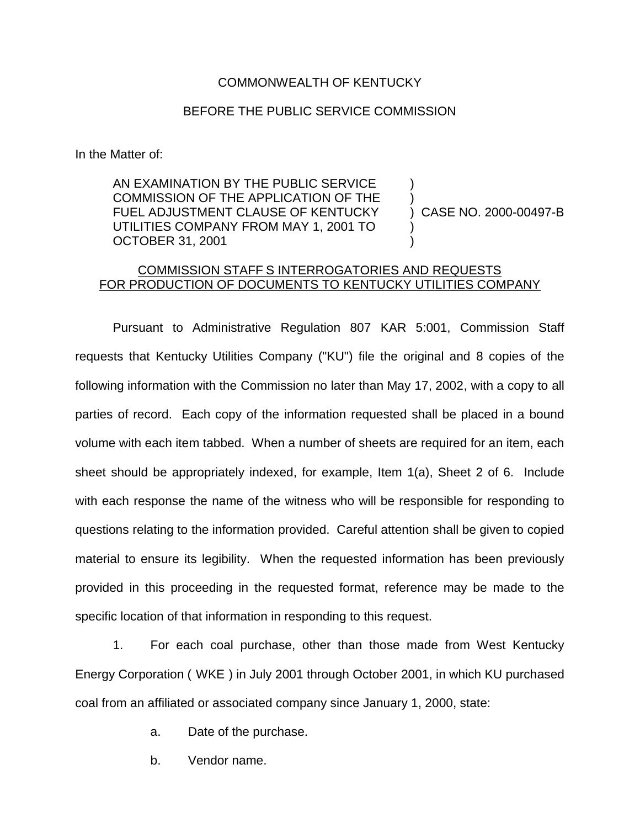## COMMONWEALTH OF KENTUCKY

## BEFORE THE PUBLIC SERVICE COMMISSION

In the Matter of:

AN EXAMINATION BY THE PUBLIC SERVICE COMMISSION OF THE APPLICATION OF THE FUEL ADJUSTMENT CLAUSE OF KENTUCKY UTILITIES COMPANY FROM MAY 1, 2001 TO OCTOBER 31, 2001

) CASE NO. 2000-00497-B

) )

) )

## COMMISSION STAFF S INTERROGATORIES AND REQUESTS FOR PRODUCTION OF DOCUMENTS TO KENTUCKY UTILITIES COMPANY

Pursuant to Administrative Regulation 807 KAR 5:001, Commission Staff requests that Kentucky Utilities Company ("KU") file the original and 8 copies of the following information with the Commission no later than May 17, 2002, with a copy to all parties of record. Each copy of the information requested shall be placed in a bound volume with each item tabbed. When a number of sheets are required for an item, each sheet should be appropriately indexed, for example, Item 1(a), Sheet 2 of 6. Include with each response the name of the witness who will be responsible for responding to questions relating to the information provided. Careful attention shall be given to copied material to ensure its legibility. When the requested information has been previously provided in this proceeding in the requested format, reference may be made to the specific location of that information in responding to this request.

1. For each coal purchase, other than those made from West Kentucky Energy Corporation ( WKE ) in July 2001 through October 2001, in which KU purchased coal from an affiliated or associated company since January 1, 2000, state:

a. Date of the purchase.

b. Vendor name.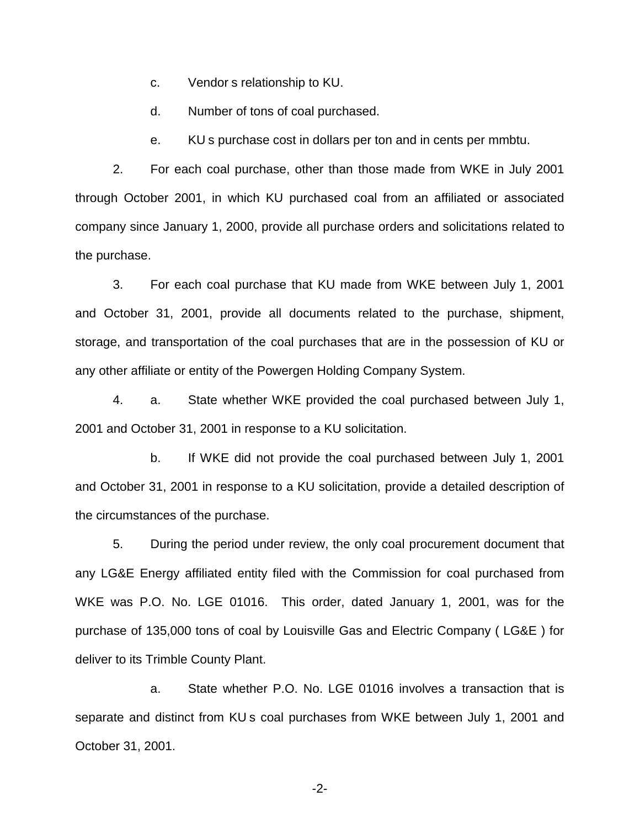c. Vendor s relationship to KU.

d. Number of tons of coal purchased.

e. KU s purchase cost in dollars per ton and in cents per mmbtu.

2. For each coal purchase, other than those made from WKE in July 2001 through October 2001, in which KU purchased coal from an affiliated or associated company since January 1, 2000, provide all purchase orders and solicitations related to the purchase.

3. For each coal purchase that KU made from WKE between July 1, 2001 and October 31, 2001, provide all documents related to the purchase, shipment, storage, and transportation of the coal purchases that are in the possession of KU or any other affiliate or entity of the Powergen Holding Company System.

4. a. State whether WKE provided the coal purchased between July 1, 2001 and October 31, 2001 in response to a KU solicitation.

b. If WKE did not provide the coal purchased between July 1, 2001 and October 31, 2001 in response to a KU solicitation, provide a detailed description of the circumstances of the purchase.

5. During the period under review, the only coal procurement document that any LG&E Energy affiliated entity filed with the Commission for coal purchased from WKE was P.O. No. LGE 01016. This order, dated January 1, 2001, was for the purchase of 135,000 tons of coal by Louisville Gas and Electric Company ( LG&E ) for deliver to its Trimble County Plant.

a. State whether P.O. No. LGE 01016 involves a transaction that is separate and distinct from KU s coal purchases from WKE between July 1, 2001 and October 31, 2001.

-2-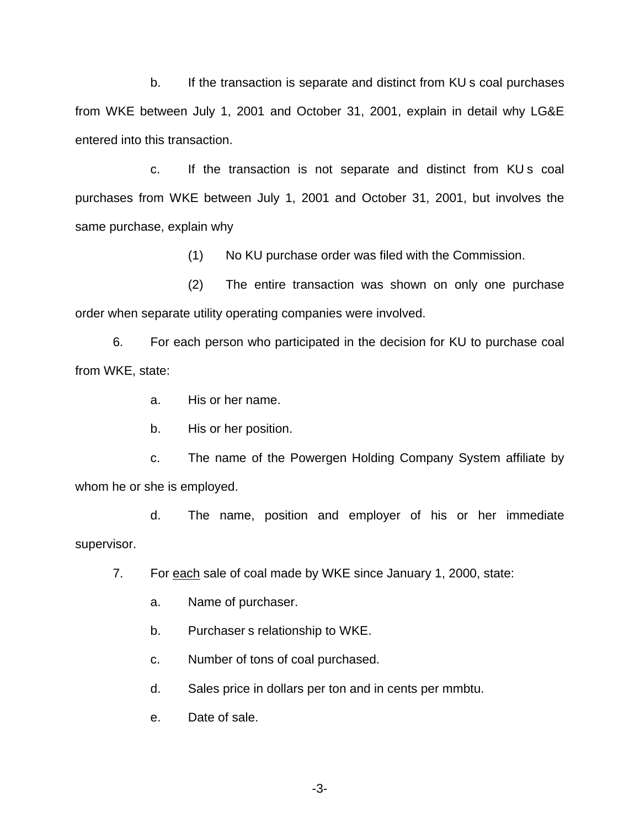b. If the transaction is separate and distinct from KU s coal purchases from WKE between July 1, 2001 and October 31, 2001, explain in detail why LG&E entered into this transaction.

c. If the transaction is not separate and distinct from KU s coal purchases from WKE between July 1, 2001 and October 31, 2001, but involves the same purchase, explain why

(1) No KU purchase order was filed with the Commission.

(2) The entire transaction was shown on only one purchase order when separate utility operating companies were involved.

6. For each person who participated in the decision for KU to purchase coal from WKE, state:

a. His or her name.

b. His or her position.

c. The name of the Powergen Holding Company System affiliate by whom he or she is employed.

d. The name, position and employer of his or her immediate supervisor.

7. For each sale of coal made by WKE since January 1, 2000, state:

a. Name of purchaser.

b. Purchaser s relationship to WKE.

c. Number of tons of coal purchased.

d. Sales price in dollars per ton and in cents per mmbtu.

e. Date of sale.

-3-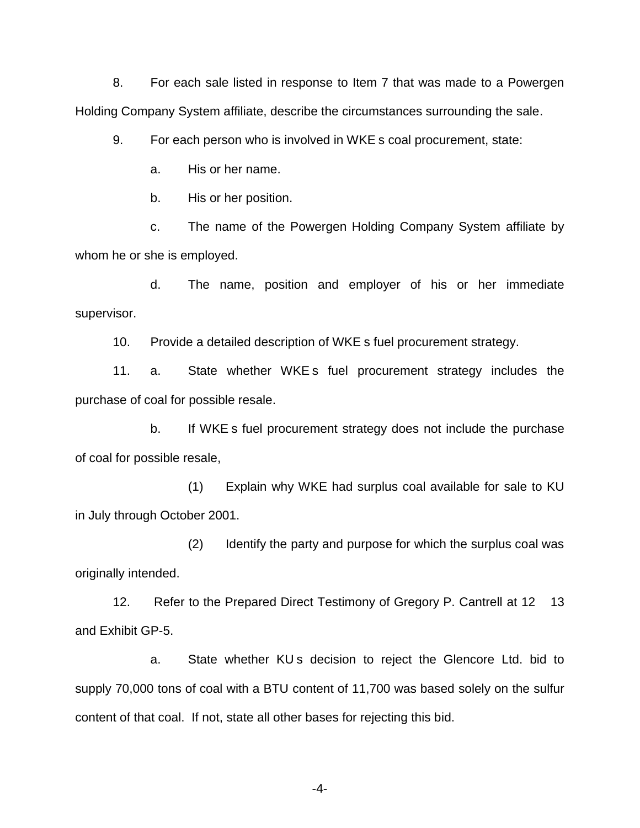8. For each sale listed in response to Item 7 that was made to a Powergen Holding Company System affiliate, describe the circumstances surrounding the sale.

9. For each person who is involved in WKE s coal procurement, state:

a. His or her name.

b. His or her position.

c. The name of the Powergen Holding Company System affiliate by whom he or she is employed.

d. The name, position and employer of his or her immediate supervisor.

10. Provide a detailed description of WKE s fuel procurement strategy.

11. a. State whether WKE s fuel procurement strategy includes the purchase of coal for possible resale.

b. If WKE s fuel procurement strategy does not include the purchase of coal for possible resale,

(1) Explain why WKE had surplus coal available for sale to KU in July through October 2001.

(2) Identify the party and purpose for which the surplus coal was originally intended.

12. Refer to the Prepared Direct Testimony of Gregory P. Cantrell at 12 13 and Exhibit GP-5.

a. State whether KU s decision to reject the Glencore Ltd. bid to supply 70,000 tons of coal with a BTU content of 11,700 was based solely on the sulfur content of that coal. If not, state all other bases for rejecting this bid.

-4-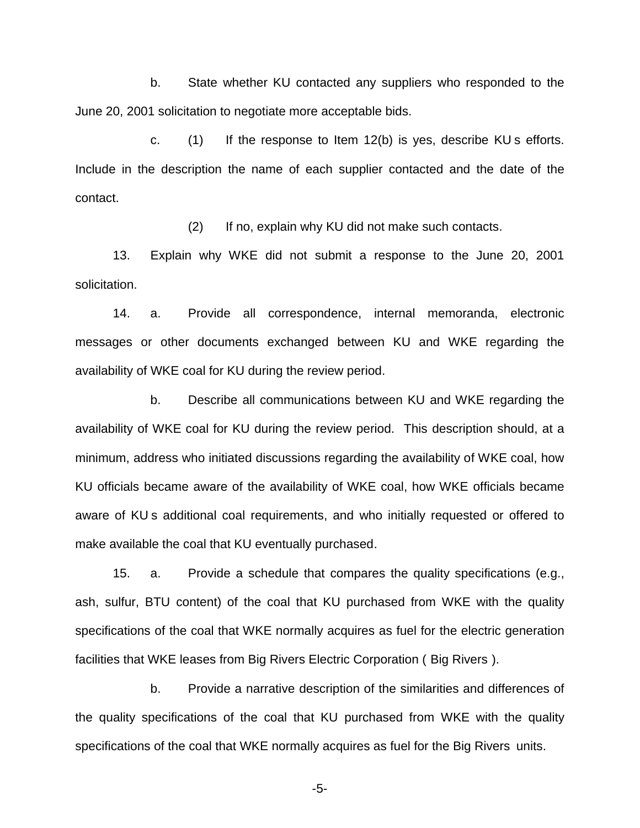b. State whether KU contacted any suppliers who responded to the June 20, 2001 solicitation to negotiate more acceptable bids.

c. (1) If the response to Item 12(b) is yes, describe KU s efforts. Include in the description the name of each supplier contacted and the date of the contact.

(2) If no, explain why KU did not make such contacts.

13. Explain why WKE did not submit a response to the June 20, 2001 solicitation.

14. a. Provide all correspondence, internal memoranda, electronic messages or other documents exchanged between KU and WKE regarding the availability of WKE coal for KU during the review period.

b. Describe all communications between KU and WKE regarding the availability of WKE coal for KU during the review period. This description should, at a minimum, address who initiated discussions regarding the availability of WKE coal, how KU officials became aware of the availability of WKE coal, how WKE officials became aware of KU s additional coal requirements, and who initially requested or offered to make available the coal that KU eventually purchased.

15. a. Provide a schedule that compares the quality specifications (e.g., ash, sulfur, BTU content) of the coal that KU purchased from WKE with the quality specifications of the coal that WKE normally acquires as fuel for the electric generation facilities that WKE leases from Big Rivers Electric Corporation ( Big Rivers ).

b. Provide a narrative description of the similarities and differences of the quality specifications of the coal that KU purchased from WKE with the quality specifications of the coal that WKE normally acquires as fuel for the Big Rivers units.

-5-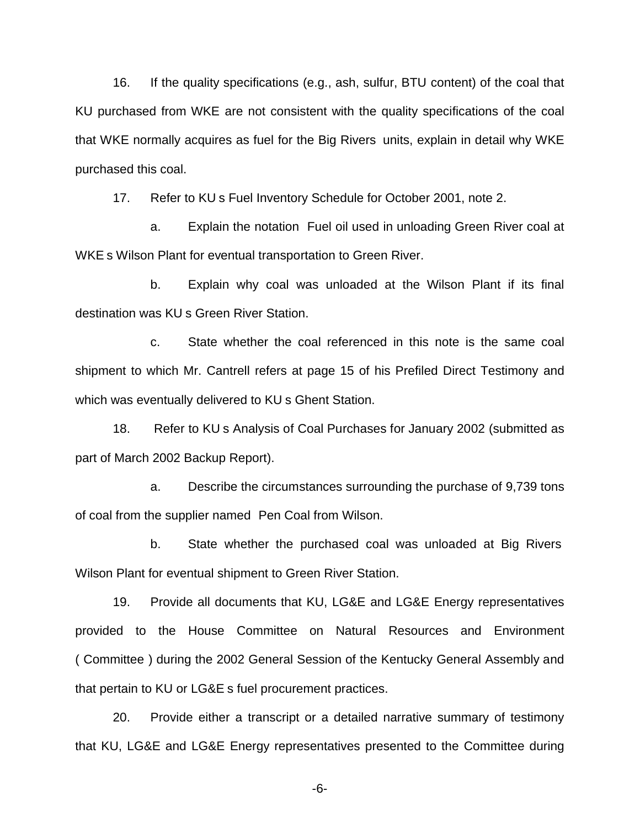16. If the quality specifications (e.g., ash, sulfur, BTU content) of the coal that KU purchased from WKE are not consistent with the quality specifications of the coal that WKE normally acquires as fuel for the Big Rivers units, explain in detail why WKE purchased this coal.

17. Refer to KU s Fuel Inventory Schedule for October 2001, note 2.

a. Explain the notation Fuel oil used in unloading Green River coal at WKE s Wilson Plant for eventual transportation to Green River.

b. Explain why coal was unloaded at the Wilson Plant if its final destination was KU s Green River Station.

c. State whether the coal referenced in this note is the same coal shipment to which Mr. Cantrell refers at page 15 of his Prefiled Direct Testimony and which was eventually delivered to KU s Ghent Station.

18. Refer to KU s Analysis of Coal Purchases for January 2002 (submitted as part of March 2002 Backup Report).

a. Describe the circumstances surrounding the purchase of 9,739 tons of coal from the supplier named Pen Coal from Wilson.

b. State whether the purchased coal was unloaded at Big Rivers Wilson Plant for eventual shipment to Green River Station.

19. Provide all documents that KU, LG&E and LG&E Energy representatives provided to the House Committee on Natural Resources and Environment ( Committee ) during the 2002 General Session of the Kentucky General Assembly and that pertain to KU or LG&E s fuel procurement practices.

20. Provide either a transcript or a detailed narrative summary of testimony that KU, LG&E and LG&E Energy representatives presented to the Committee during

-6-